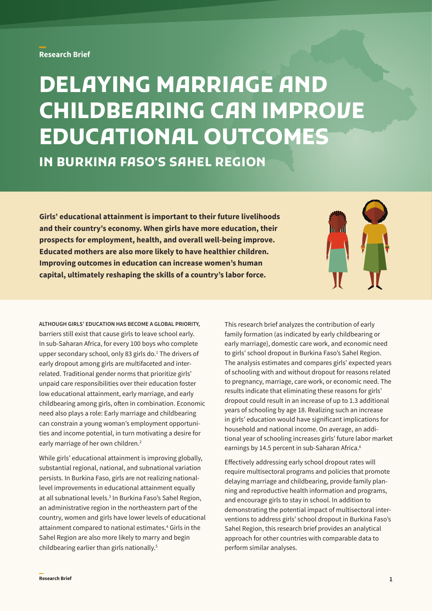## **Research Brief**

# **DELAYING MARRIAGE AND CHILDBEARING CAN IMPROVE EDUCATIONAL OUTCOMES IN BURKINA FASO'S SAHEL REGION**

**Girls' educational attainment is important to their future livelihoods and their country's economy. When girls have more education, their prospects for employment, health, and overall well-being improve. Educated mothers are also more likely to have healthier children. Improving outcomes in education can increase women's human capital, ultimately reshaping the skills of a country's labor force.** 



**ALTHOUGH GIRLS' EDUCATION HAS BECOME A GLOBAL PRIORITY,** barriers still exist that cause girls to leave school early. In sub-Saharan Africa, for every 100 boys who complete upper secondary school, only 83 girls do.<sup>1</sup> The drivers of early dropout among girls are multifaceted and interrelated. Traditional gender norms that prioritize girls' unpaid care responsibilities over their education foster low educational attainment, early marriage, and early childbearing among girls, often in combination. Economic need also plays a role: Early marriage and childbearing can constrain a young woman's employment opportunities and income potential, in turn motivating a desire for early marriage of her own children.<sup>2</sup>

While girls' educational attainment is improving globally, substantial regional, national, and subnational variation persists. In Burkina Faso, girls are not realizing nationallevel improvements in educational attainment equally at all subnational levels.<sup>3</sup> In Burkina Faso's Sahel Region, an administrative region in the northeastern part of the country, women and girls have lower levels of educational attainment compared to national estimates.4 Girls in the Sahel Region are also more likely to marry and begin childbearing earlier than girls nationally.5

This research brief analyzes the contribution of early family formation (as indicated by early childbearing or early marriage), domestic care work, and economic need to girls' school dropout in Burkina Faso's Sahel Region. The analysis estimates and compares girls' expected years of schooling with and without dropout for reasons related to pregnancy, marriage, care work, or economic need. The results indicate that eliminating these reasons for girls' dropout could result in an increase of up to 1.3 additional years of schooling by age 18. Realizing such an increase in girls' education would have significant implications for household and national income. On average, an additional year of schooling increases girls' future labor market earnings by 14.5 percent in sub-Saharan Africa.<sup>6</sup>

Effectively addressing early school dropout rates will require multisectoral programs and policies that promote delaying marriage and childbearing, provide family planning and reproductive health information and programs, and encourage girls to stay in school. In addition to demonstrating the potential impact of multisectoral interventions to address girls' school dropout in Burkina Faso's Sahel Region, this research brief provides an analytical approach for other countries with comparable data to perform similar analyses.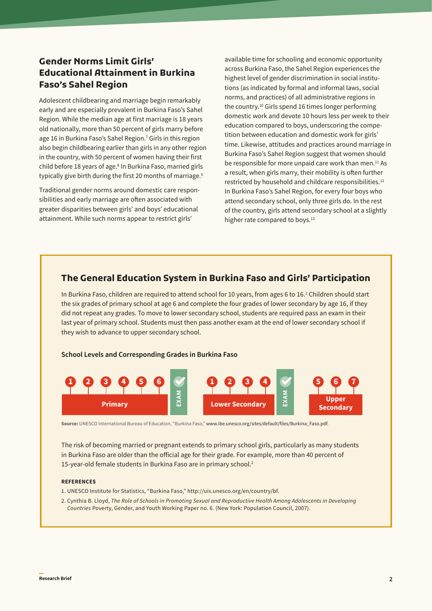## **Gender Norms Limit Girls' Educational Attainment in Burkina Faso's Sahel Region**

Adolescent childbearing and marriage begin remarkably early and are especially prevalent in Burkina Faso's Sahel Region. While the median age at first marriage is 18 years old nationally, more than 50 percent of girls marry before age 16 in Burkina Faso's Sahel Region.<sup>7</sup> Girls in this region also begin childbearing earlier than girls in any other region in the country, with 50 percent of women having their first child before 18 years of age.<sup>8</sup> In Burkina Faso, married girls typically give birth during the first 20 months of marriage.<sup>9</sup>

Traditional gender norms around domestic care responsibilities and early marriage are often associated with greater disparities between girls' and boys' educational attainment. While such norms appear to restrict girls'

available time for schooling and economic opportunity across Burkina Faso, the Sahel Region experiences the highest level of gender discrimination in social institutions (as indicated by formal and informal laws, social norms, and practices) of all administrative regions in the country.10 Girls spend 16 times longer performing domestic work and devote 10 hours less per week to their education compared to boys, underscoring the competition between education and domestic work for girls' time. Likewise, attitudes and practices around marriage in Burkina Faso's Sahel Region suggest that women should be responsible for more unpaid care work than men.<sup>11</sup> As a result, when girls marry, their mobility is often further restricted by household and childcare responsibilities.<sup>12</sup> In Burkina Faso's Sahel Region, for every four boys who attend secondary school, only three girls do. In the rest of the country, girls attend secondary school at a slightly higher rate compared to boys.<sup>13</sup>

## **The General Education System in Burkina Faso and Girls' Participation**

In Burkina Faso, children are required to attend school for 10 years, from ages 6 to 16.<sup>1</sup> Children should start the six grades of primary school at age 6 and complete the four grades of lower secondary by age 16, if they did not repeat any grades. To move to lower secondary school, students are required pass an exam in their last year of primary school. Students must then pass another exam at the end of lower secondary school if they wish to advance to upper secondary school.

#### **School Levels and Corresponding Grades in Burkina Faso**



**Source:** UNESCO International Bureau of Education, "Burkina Faso," [www.ibe.unesco.org/sites/default/files/Burkina\\_Faso.pdf](http://www.ibe.unesco.org/sites/default/files/Burkina_Faso.pdf).

The risk of becoming married or pregnant extends to primary school girls, particularly as many students in Burkina Faso are older than the official age for their grade. For example, more than 40 percent of 15-year-old female students in Burkina Faso are in primary school.2

#### **REFERENCES**

- 1. UNESCO Institute for Statistics, "Burkina Faso," [http://uis.unesco.org/en/country/bf.](http://uis.unesco.org/en/country/bf)
- 2. Cynthia B. Lloyd, *The Role of Schools in Promoting Sexual and Reproductive Health Among Adolescents in Developing Countries* Poverty, Gender, and Youth Working Paper no. 6. (New York: Population Council, 2007).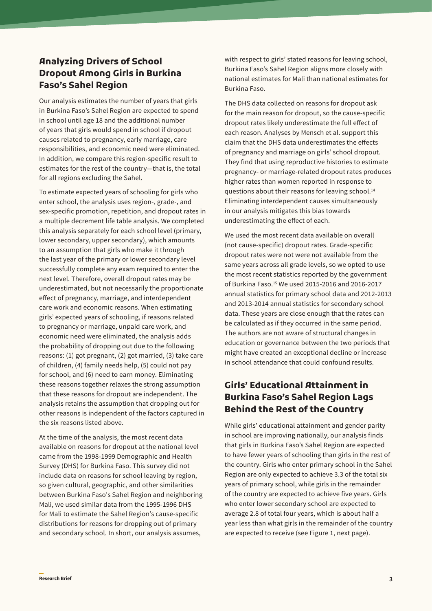# **Analyzing Drivers of School Dropout Among Girls in Burkina Faso's Sahel Region**

Our analysis estimates the number of years that girls in Burkina Faso's Sahel Region are expected to spend in school until age 18 and the additional number of years that girls would spend in school if dropout causes related to pregnancy, early marriage, care responsibilities, and economic need were eliminated. In addition, we compare this region-specific result to estimates for the rest of the country—that is, the total for all regions excluding the Sahel.

To estimate expected years of schooling for girls who enter school, the analysis uses region-, grade-, and sex-specific promotion, repetition, and dropout rates in a multiple decrement life table analysis. We completed this analysis separately for each school level (primary, lower secondary, upper secondary), which amounts to an assumption that girls who make it through the last year of the primary or lower secondary level successfully complete any exam required to enter the next level. Therefore, overall dropout rates may be underestimated, but not necessarily the proportionate effect of pregnancy, marriage, and interdependent care work and economic reasons. When estimating girls' expected years of schooling, if reasons related to pregnancy or marriage, unpaid care work, and economic need were eliminated, the analysis adds the probability of dropping out due to the following reasons: (1) got pregnant, (2) got married, (3) take care of children, (4) family needs help, (5) could not pay for school, and (6) need to earn money. Eliminating these reasons together relaxes the strong assumption that these reasons for dropout are independent. The analysis retains the assumption that dropping out for other reasons is independent of the factors captured in the six reasons listed above.

At the time of the analysis, the most recent data available on reasons for dropout at the national level came from the 1998-1999 Demographic and Health Survey (DHS) for Burkina Faso. This survey did not include data on reasons for school leaving by region, so given cultural, geographic, and other similarities between Burkina Faso's Sahel Region and neighboring Mali, we used similar data from the 1995-1996 DHS for Mali to estimate the Sahel Region's cause-specific distributions for reasons for dropping out of primary and secondary school. In short, our analysis assumes,

with respect to girls' stated reasons for leaving school, Burkina Faso's Sahel Region aligns more closely with national estimates for Mali than national estimates for Burkina Faso.

The DHS data collected on reasons for dropout ask for the main reason for dropout, so the cause-specific dropout rates likely underestimate the full effect of each reason. Analyses by Mensch et al. support this claim that the DHS data underestimates the effects of pregnancy and marriage on girls' school dropout. They find that using reproductive histories to estimate pregnancy- or marriage-related dropout rates produces higher rates than women reported in response to questions about their reasons for leaving school.14 Eliminating interdependent causes simultaneously in our analysis mitigates this bias towards underestimating the effect of each.

We used the most recent data available on overall (not cause-specific) dropout rates. Grade-specific dropout rates were not were not available from the same years across all grade levels, so we opted to use the most recent statistics reported by the government of Burkina Faso.15 We used 2015-2016 and 2016-2017 annual statistics for primary school data and 2012-2013 and 2013-2014 annual statistics for secondary school data. These years are close enough that the rates can be calculated as if they occurred in the same period. The authors are not aware of structural changes in education or governance between the two periods that might have created an exceptional decline or increase in school attendance that could confound results.

# **Girls' Educational Attainment in Burkina Faso's Sahel Region Lags Behind the Rest of the Country**

While girls' educational attainment and gender parity in school are improving nationally, our analysis finds that girls in Burkina Faso's Sahel Region are expected to have fewer years of schooling than girls in the rest of the country. Girls who enter primary school in the Sahel Region are only expected to achieve 3.3 of the total six years of primary school, while girls in the remainder of the country are expected to achieve five years. Girls who enter lower secondary school are expected to average 2.8 of total four years, which is about half a year less than what girls in the remainder of the country are expected to receive (see Figure 1, next page).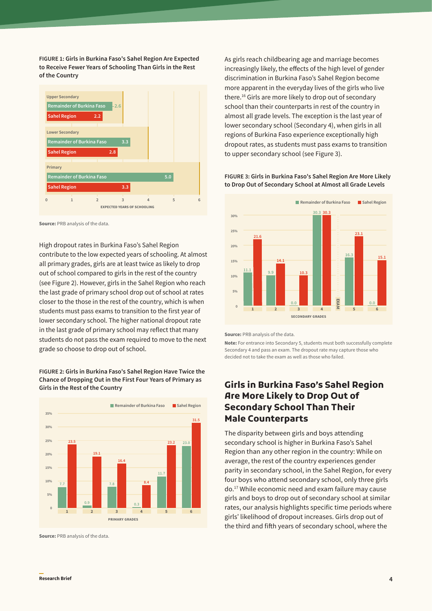**FIGURE 1: Girls in Burkina Faso's Sahel Region Are Expected to Receive Fewer Years of Schooling Than Girls in the Rest of the Country**

| <b>Upper Secondary</b>           |                |                                    |          |     |   |
|----------------------------------|----------------|------------------------------------|----------|-----|---|
| <b>Remainder of Burkina Faso</b> | $-2.6$         |                                    |          |     |   |
| <b>Sahel Region</b>              | 2.2            |                                    |          |     |   |
|                                  |                |                                    |          |     |   |
| <b>Lower Secondary</b>           |                |                                    |          |     |   |
| <b>Remainder of Burkina Faso</b> |                | 3.3                                |          |     |   |
| <b>Sahel Region</b>              | 2.8            |                                    |          |     |   |
|                                  |                |                                    |          |     |   |
| Primary                          |                |                                    |          |     |   |
| <b>Remainder of Burkina Faso</b> |                |                                    |          | 5.0 |   |
| <b>Sahel Region</b>              |                | 3.3                                |          |     |   |
| 1<br>U                           | $\overline{2}$ | 3                                  | $\Delta$ | 5   | 6 |
|                                  |                | <b>EXPECTED YEARS OF SCHOOLING</b> |          |     |   |

**Source:** PRB analysis of the data.

High dropout rates in Burkina Faso's Sahel Region contribute to the low expected years of schooling. At almost all primary grades, girls are at least twice as likely to drop out of school compared to girls in the rest of the country (see Figure 2). However, girls in the Sahel Region who reach the last grade of primary school drop out of school at rates closer to the those in the rest of the country, which is when students must pass exams to transition to the first year of lower secondary school. The higher national dropout rate in the last grade of primary school may reflect that many students do not pass the exam required to move to the next grade so choose to drop out of school.

#### **FIGURE 2: Girls in Burkina Faso's Sahel Region Have Twice the Chance of Dropping Out in the First Four Years of Primary as Girls in the Rest of the Country**



**Source:** PRB analysis of the data.

As girls reach childbearing age and marriage becomes increasingly likely, the effects of the high level of gender discrimination in Burkina Faso's Sahel Region become more apparent in the everyday lives of the girls who live there.16 Girls are more likely to drop out of secondary school than their counterparts in rest of the country in almost all grade levels. The exception is the last year of lower secondary school (Secondary 4), when girls in all regions of Burkina Faso experience exceptionally high dropout rates, as students must pass exams to transition to upper secondary school (see Figure 3).

#### **FIGURE 3: Girls in Burkina Faso's Sahel Region Are More Likely to Drop Out of Secondary School at Almost all Grade Levels**



**Source:** PRB analysis of the data.

**Note:** For entrance into Secondary 5, students must both successfully complete Secondary 4 and pass an exam. The dropout rate may capture those who decided not to take the exam as well as those who failed.

## **Girls in Burkina Faso's Sahel Region Are More Likely to Drop Out of Secondary School Than Their Male Counterparts**

The disparity between girls and boys attending secondary school is higher in Burkina Faso's Sahel Region than any other region in the country: While on average, the rest of the country experiences gender parity in secondary school, in the Sahel Region, for every four boys who attend secondary school, only three girls do.17 While economic need and exam failure may cause girls and boys to drop out of secondary school at similar rates, our analysis highlights specific time periods where girls' likelihood of dropout increases. Girls drop out of the third and fifth years of secondary school, where the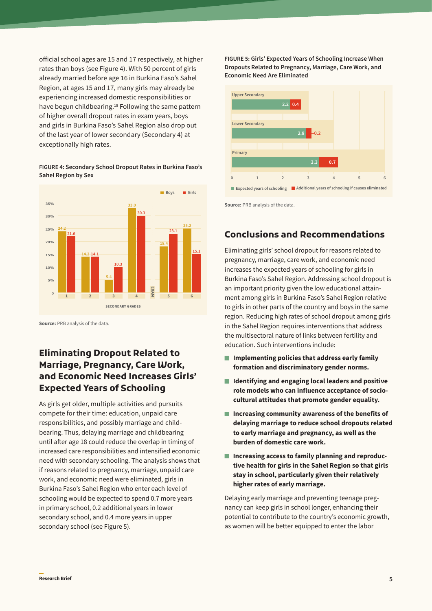official school ages are 15 and 17 respectively, at higher rates than boys (see Figure 4). With 50 percent of girls already married before age 16 in Burkina Faso's Sahel Region, at ages 15 and 17, many girls may already be experiencing increased domestic responsibilities or have begun childbearing.<sup>18</sup> Following the same pattern of higher overall dropout rates in exam years, boys and girls in Burkina Faso's Sahel Region also drop out of the last year of lower secondary (Secondary 4) at exceptionally high rates.

#### **FIGURE 4: Secondary School Dropout Rates in Burkina Faso's Sahel Region by Sex**



**Source: PRB analysis of the data.** 

# **Eliminating Dropout Related to Marriage, Pregnancy, Care Work, and Economic Need Increases Girls' Expected Years of Schooling**

As girls get older, multiple activities and pursuits compete for their time: education, unpaid care responsibilities, and possibly marriage and childbearing. Thus, delaying marriage and childbearing until after age 18 could reduce the overlap in timing of increased care responsibilities and intensified economic need with secondary schooling. The analysis shows that if reasons related to pregnancy, marriage, unpaid care work, and economic need were eliminated, girls in Burkina Faso's Sahel Region who enter each level of schooling would be expected to spend 0.7 more years in primary school, 0.2 additional years in lower secondary school, and 0.4 more years in upper secondary school (see Figure 5).

**FIGURE 5: Girls' Expected Years of Schooling Increase When Dropouts Related to Pregnancy, Marriage, Care Work, and Economic Need Are Eliminated**



**Source:** PRB analysis of the data.

# **Conclusions and Recommendations**

Eliminating girls' school dropout for reasons related to pregnancy, marriage, care work, and economic need increases the expected years of schooling for girls in Burkina Faso's Sahel Region. Addressing school dropout is an important priority given the low educational attainment among girls in Burkina Faso's Sahel Region relative to girls in other parts of the country and boys in the same region. Reducing high rates of school dropout among girls in the Sahel Region requires interventions that address the multisectoral nature of links between fertility and education. Such interventions include:

- **Implementing policies that address early family formation and discriminatory gender norms.**
- **Identifying and engaging local leaders and positive role models who can influence acceptance of sociocultural attitudes that promote gender equality.**
- **Increasing community awareness of the benefits of delaying marriage to reduce school dropouts related to early marriage and pregnancy, as well as the burden of domestic care work.**
- Increasing access to family planning and reproduc**tive health for girls in the Sahel Region so that girls stay in school, particularly given their relatively higher rates of early marriage.**

Delaying early marriage and preventing teenage pregnancy can keep girls in school longer, enhancing their potential to contribute to the country's economic growth, as women will be better equipped to enter the labor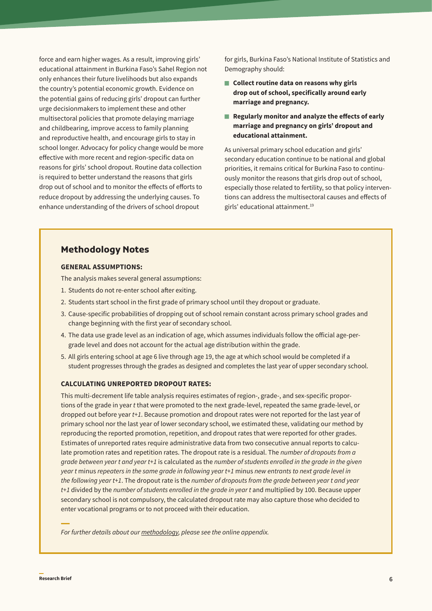force and earn higher wages. As a result, improving girls' educational attainment in Burkina Faso's Sahel Region not only enhances their future livelihoods but also expands the country's potential economic growth. Evidence on the potential gains of reducing girls' dropout can further urge decisionmakers to implement these and other multisectoral policies that promote delaying marriage and childbearing, improve access to family planning and reproductive health, and encourage girls to stay in school longer. Advocacy for policy change would be more effective with more recent and region-specific data on reasons for girls' school dropout. Routine data collection is required to better understand the reasons that girls drop out of school and to monitor the effects of efforts to reduce dropout by addressing the underlying causes. To enhance understanding of the drivers of school dropout

for girls, Burkina Faso's National Institute of Statistics and Demography should:

- Collect routine data on reasons why girls **drop out of school, specifically around early marriage and pregnancy.**
- **Regularly monitor and analyze the effects of early marriage and pregnancy on girls' dropout and educational attainment.**

As universal primary school education and girls' secondary education continue to be national and global priorities, it remains critical for Burkina Faso to continuously monitor the reasons that girls drop out of school, especially those related to fertility, so that policy interventions can address the multisectoral causes and effects of girls' educational attainment.19

## **Methodology Notes**

## **GENERAL ASSUMPTIONS:**

The analysis makes several general assumptions:

- 1. Students do not re-enter school after exiting.
- 2. Students start school in the first grade of primary school until they dropout or graduate.
- 3. Cause-specific probabilities of dropping out of school remain constant across primary school grades and change beginning with the first year of secondary school.
- 4. The data use grade level as an indication of age, which assumes individuals follow the official age-pergrade level and does not account for the actual age distribution within the grade.
- 5. All girls entering school at age 6 live through age 19, the age at which school would be completed if a student progresses through the grades as designed and completes the last year of upper secondary school.

## **CALCULATING UNREPORTED DROPOUT RATES:**

This multi-decrement life table analysis requires estimates of region-, grade-, and sex-specific proportions of the grade in year *t* that were promoted to the next grade-level, repeated the same grade-level, or dropped out before year *t+1*. Because promotion and dropout rates were not reported for the last year of primary school nor the last year of lower secondary school, we estimated these, validating our method by reproducing the reported promotion, repetition, and dropout rates that were reported for other grades. Estimates of unreported rates require administrative data from two consecutive annual reports to calculate promotion rates and repetition rates. The dropout rate is a residual. The *number of dropouts from a grade between year t and year t+1* is calculated as the *number of students enrolled in the grade in the given year t* minus *repeaters in the same grade in following year t+1* minus *new entrants to next grade level in the following year t+1*. The dropout rate is the *number of dropouts from the grade between year t and year t+1* divided by the *number of students enrolled in the grade in year t* and multiplied by 100. Because upper secondary school is not compulsory, the calculated dropout rate may also capture those who decided to enter vocational programs or to not proceed with their education.

*For further details about our [methodology,](https://thepaceproject.org/wp-content/uploads/2020/11/pace-burkina-faso-appendix-11-24.pdf) please see the online appendix.*